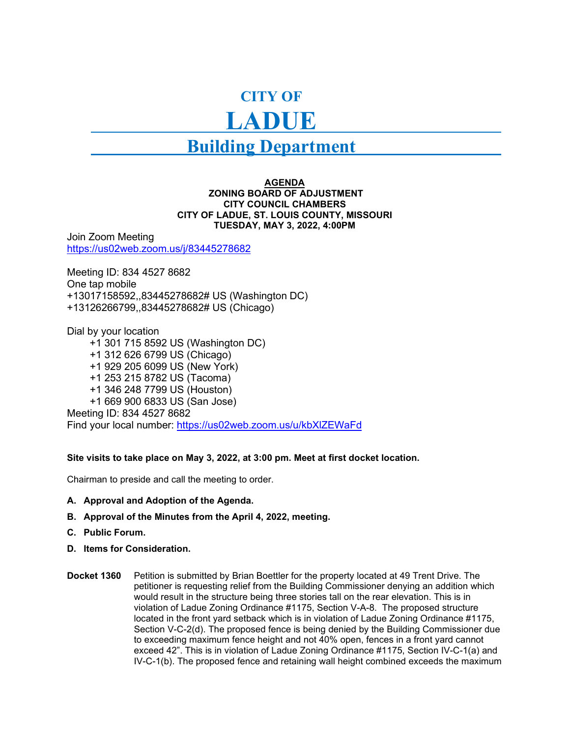### **CITY OF**

# **LADUE**

## **Building Department**

#### **AGENDA ZONING BOARD OF ADJUSTMENT CITY COUNCIL CHAMBERS CITY OF LADUE, ST. LOUIS COUNTY, MISSOURI TUESDAY, MAY 3, 2022, 4:00PM**

Join Zoom Meeting <https://us02web.zoom.us/j/83445278682>

Meeting ID: 834 4527 8682 One tap mobile +13017158592,,83445278682# US (Washington DC) +13126266799,,83445278682# US (Chicago)

Dial by your location

 +1 301 715 8592 US (Washington DC) +1 312 626 6799 US (Chicago)

 +1 929 205 6099 US (New York) +1 253 215 8782 US (Tacoma)

+1 346 248 7799 US (Houston)

+1 669 900 6833 US (San Jose)

Meeting ID: 834 4527 8682

Find your local number:<https://us02web.zoom.us/u/kbXlZEWaFd>

#### **Site visits to take place on May 3, 2022, at 3:00 pm. Meet at first docket location.**

Chairman to preside and call the meeting to order.

- **A. Approval and Adoption of the Agenda.**
- **B. Approval of the Minutes from the April 4, 2022, meeting.**
- **C. Public Forum.**
- **D. Items for Consideration.**
- **Docket 1360** Petition is submitted by Brian Boettler for the property located at 49 Trent Drive. The petitioner is requesting relief from the Building Commissioner denying an addition which would result in the structure being three stories tall on the rear elevation. This is in violation of Ladue Zoning Ordinance #1175, Section V-A-8. The proposed structure located in the front yard setback which is in violation of Ladue Zoning Ordinance #1175, Section V-C-2(d). The proposed fence is being denied by the Building Commissioner due to exceeding maximum fence height and not 40% open, fences in a front yard cannot exceed 42". This is in violation of Ladue Zoning Ordinance #1175, Section IV-C-1(a) and IV-C-1(b). The proposed fence and retaining wall height combined exceeds the maximum